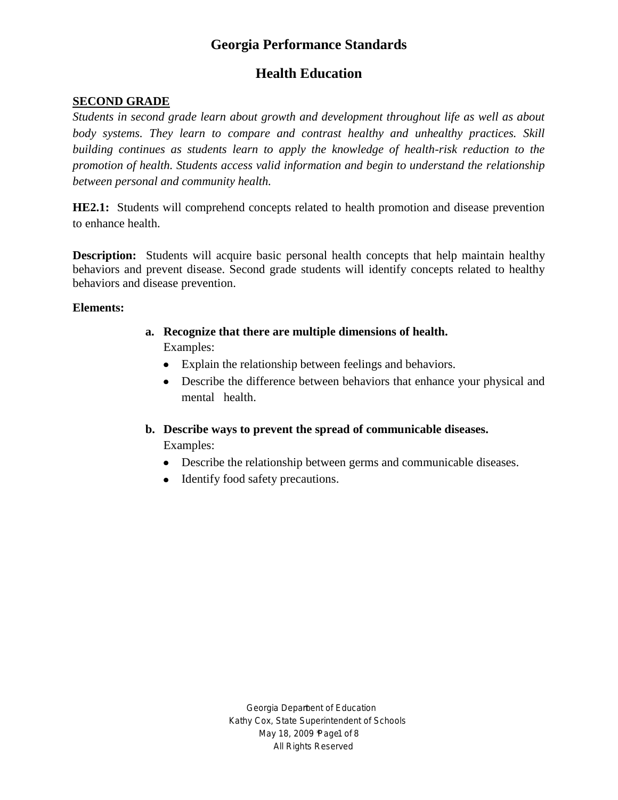# **Health Education**

## **SECOND GRADE**

*Students in second grade learn about growth and development throughout life as well as about body systems. They learn to compare and contrast healthy and unhealthy practices. Skill building continues as students learn to apply the knowledge of health-risk reduction to the promotion of health. Students access valid information and begin to understand the relationship between personal and community health.*

**HE2.1:** Students will comprehend concepts related to health promotion and disease prevention to enhance health.

**Description:** Students will acquire basic personal health concepts that help maintain healthy behaviors and prevent disease. Second grade students will identify concepts related to healthy behaviors and disease prevention.

#### **Elements:**

- **a. Recognize that there are multiple dimensions of health.** Examples:
	- Explain the relationship between feelings and behaviors.
	- Describe the difference between behaviors that enhance your physical and mental health.
- **b. Describe ways to prevent the spread of communicable diseases.**

- Describe the relationship between germs and communicable diseases.
- Identify food safety precautions.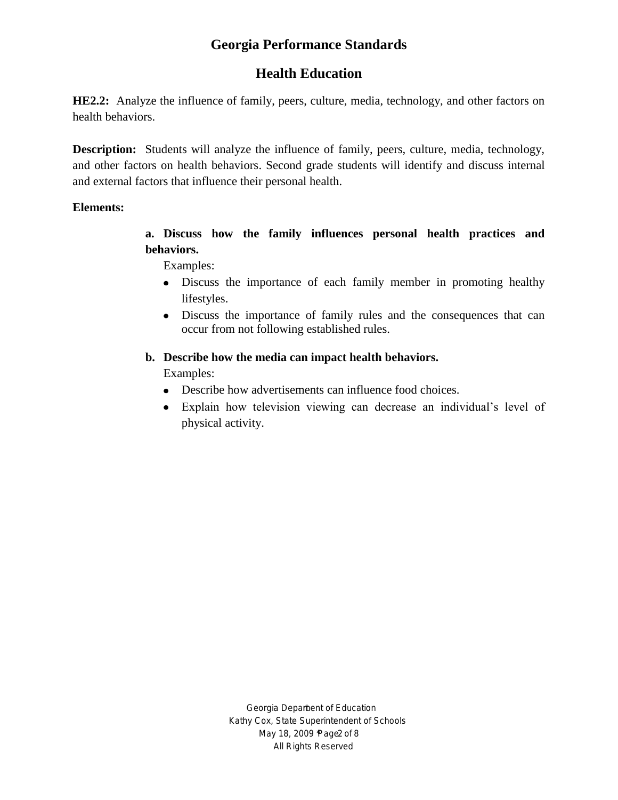## **Health Education**

**HE2.2:** Analyze the influence of family, peers, culture, media, technology, and other factors on health behaviors.

**Description:** Students will analyze the influence of family, peers, culture, media, technology, and other factors on health behaviors. Second grade students will identify and discuss internal and external factors that influence their personal health.

#### **Elements:**

**a. Discuss how the family influences personal health practices and behaviors.**

Examples:

- Discuss the importance of each family member in promoting healthy lifestyles.
- Discuss the importance of family rules and the consequences that can occur from not following established rules.

#### **b. Describe how the media can impact health behaviors.**

- Describe how advertisements can influence food choices.
- Explain how television viewing can decrease an individual's level of physical activity.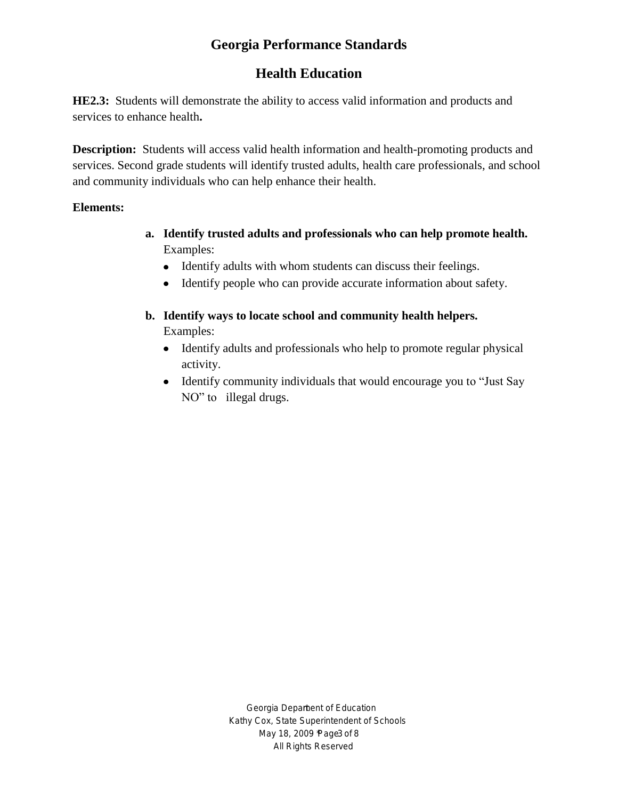# **Health Education**

**HE2.3:** Students will demonstrate the ability to access valid information and products and services to enhance health**.**

**Description:** Students will access valid health information and health-promoting products and services. Second grade students will identify trusted adults, health care professionals, and school and community individuals who can help enhance their health.

#### **Elements:**

- **a. Identify trusted adults and professionals who can help promote health.** Examples:
	- Identify adults with whom students can discuss their feelings.
	- Identify people who can provide accurate information about safety.
- **b. Identify ways to locate school and community health helpers.** Examples:
	- Identify adults and professionals who help to promote regular physical activity.
	- Identify community individuals that would encourage you to "Just Say" NO" to illegal drugs.

Georgia Depament of Education Kathy Cox, State Superintendent of Schools May 18, 2009 age 3 of 8 All Rights Reserved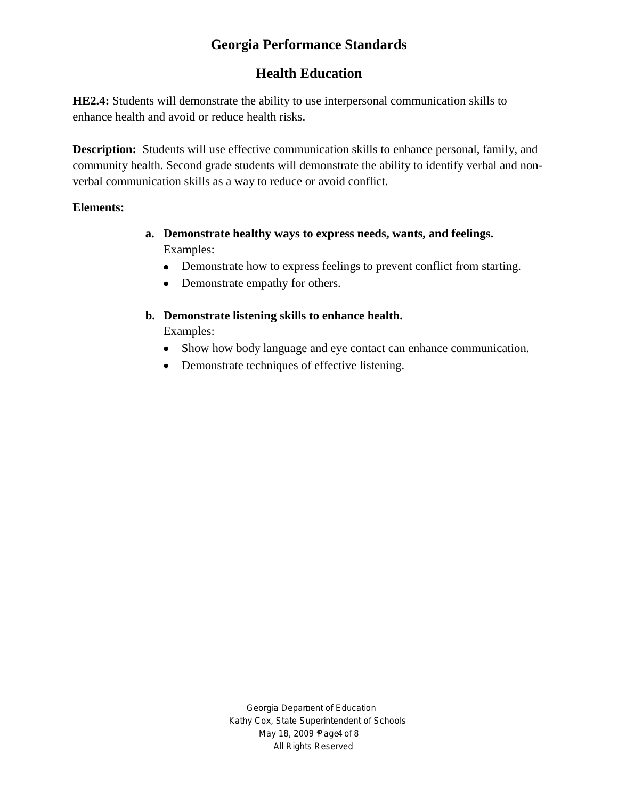# **Health Education**

**HE2.4:** Students will demonstrate the ability to use interpersonal communication skills to enhance health and avoid or reduce health risks.

**Description:** Students will use effective communication skills to enhance personal, family, and community health. Second grade students will demonstrate the ability to identify verbal and nonverbal communication skills as a way to reduce or avoid conflict.

#### **Elements:**

- **a. Demonstrate healthy ways to express needs, wants, and feelings.** Examples:
	- Demonstrate how to express feelings to prevent conflict from starting.
	- Demonstrate empathy for others.

## **b. Demonstrate listening skills to enhance health.**

- Show how body language and eye contact can enhance communication.
- Demonstrate techniques of effective listening.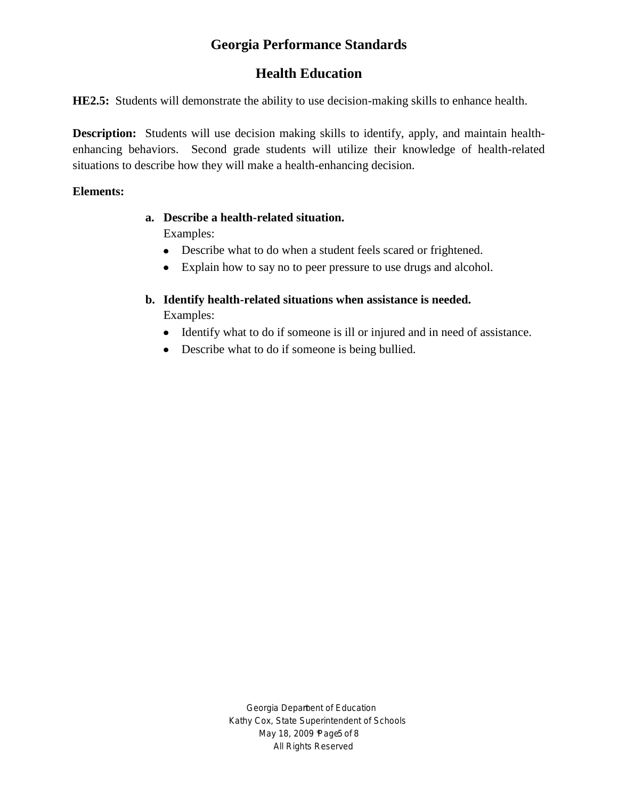# **Health Education**

**HE2.5:** Students will demonstrate the ability to use decision-making skills to enhance health.

**Description:** Students will use decision making skills to identify, apply, and maintain healthenhancing behaviors. Second grade students will utilize their knowledge of health-related situations to describe how they will make a health-enhancing decision.

#### **Elements:**

# **a. Describe a health-related situation.**

- Describe what to do when a student feels scared or frightened.
- Explain how to say no to peer pressure to use drugs and alcohol.
- **b. Identify health-related situations when assistance is needed.** Examples:
	- Identify what to do if someone is ill or injured and in need of assistance.
	- Describe what to do if someone is being bullied.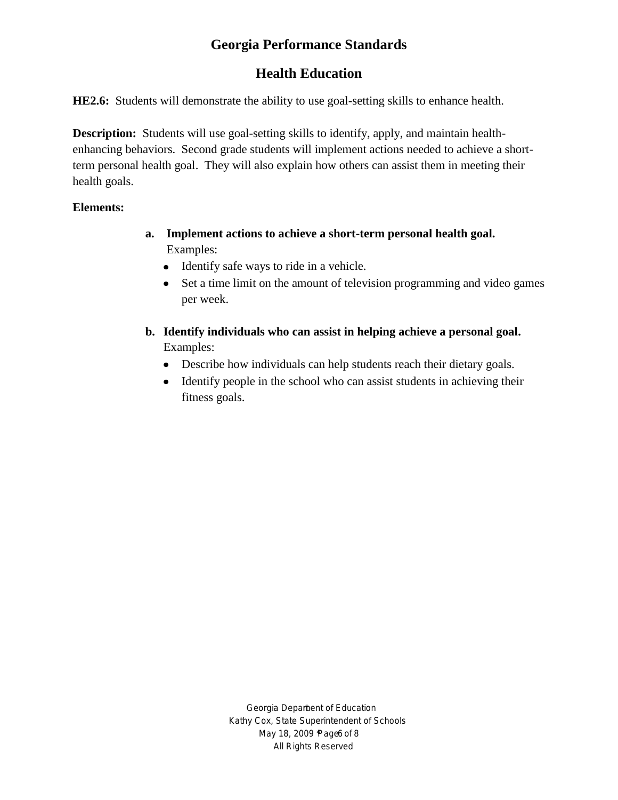# **Health Education**

**HE2.6:** Students will demonstrate the ability to use goal-setting skills to enhance health.

**Description:** Students will use goal-setting skills to identify, apply, and maintain healthenhancing behaviors. Second grade students will implement actions needed to achieve a shortterm personal health goal. They will also explain how others can assist them in meeting their health goals.

## **Elements:**

- **a. Implement actions to achieve a short-term personal health goal.** Examples:
	- Identify safe ways to ride in a vehicle.
	- Set a time limit on the amount of television programming and video games  $\bullet$ per week.
- **b. Identify individuals who can assist in helping achieve a personal goal.** Examples:
	- Describe how individuals can help students reach their dietary goals.
	- Identify people in the school who can assist students in achieving their fitness goals.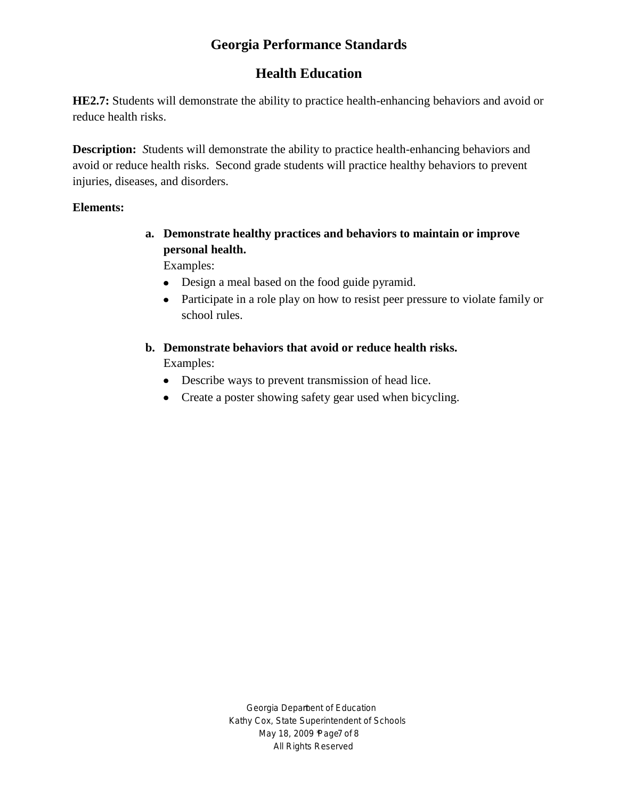# **Health Education**

**HE2.7:** Students will demonstrate the ability to practice health-enhancing behaviors and avoid or reduce health risks.

**Description:** *S*tudents will demonstrate the ability to practice health-enhancing behaviors and avoid or reduce health risks. Second grade students will practice healthy behaviors to prevent injuries, diseases, and disorders.

#### **Elements:**

**a. Demonstrate healthy practices and behaviors to maintain or improve personal health.**

Examples:

- Design a meal based on the food guide pyramid.
- Participate in a role play on how to resist peer pressure to violate family or school rules.
- **b. Demonstrate behaviors that avoid or reduce health risks.** Examples:
	- Describe ways to prevent transmission of head lice.
	- Create a poster showing safety gear used when bicycling.

Georgia Depament of Education Kathy Cox, State Superintendent of Schools May 18, 2009 age 7 of 8 All Rights Reserved